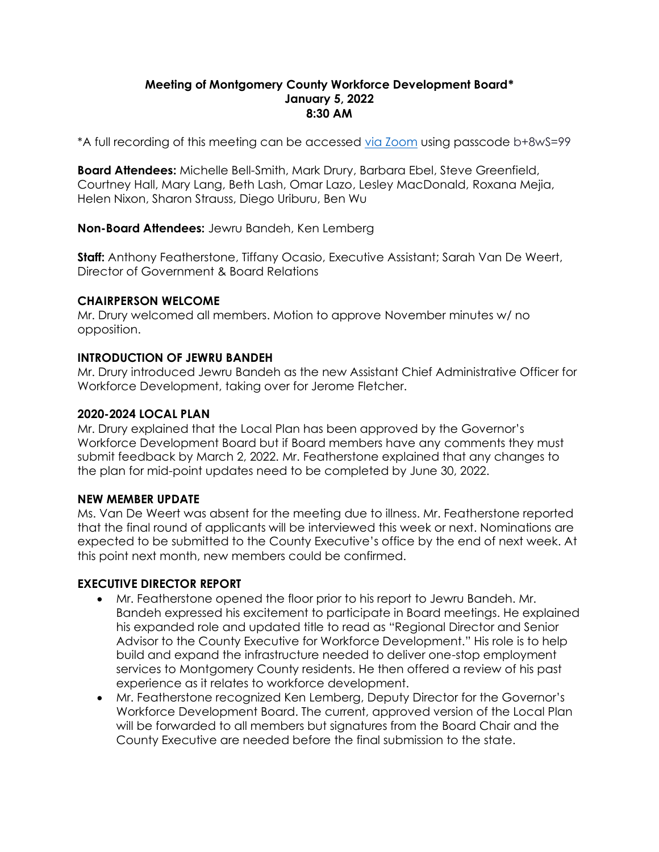#### **Meeting of Montgomery County Workforce Development Board\* January 5, 2022 8:30 AM**

\*A full recording of this meeting can be accessed [via Zoom](https://us02web.zoom.us/rec/share/_a6UD4cHyFYY42jq3h1nxe0vAzpJk1O9Wft_YisBkSR0V0nm2fW3OvD6drR8teUC.sUMQxJq-ASkElvlM) using passcode b+8wS=99

**Board Attendees:** Michelle Bell-Smith, Mark Drury, Barbara Ebel, Steve Greenfield, Courtney Hall, Mary Lang, Beth Lash, Omar Lazo, Lesley MacDonald, Roxana Mejia, Helen Nixon, Sharon Strauss, Diego Uriburu, Ben Wu

**Non-Board Attendees:** Jewru Bandeh, Ken Lemberg

**Staff:** Anthony Featherstone, Tiffany Ocasio, Executive Assistant; Sarah Van De Weert, Director of Government & Board Relations

### **CHAIRPERSON WELCOME**

Mr. Drury welcomed all members. Motion to approve November minutes w/ no opposition.

# **INTRODUCTION OF JEWRU BANDEH**

Mr. Drury introduced Jewru Bandeh as the new Assistant Chief Administrative Officer for Workforce Development, taking over for Jerome Fletcher.

### **2020-2024 LOCAL PLAN**

Mr. Drury explained that the Local Plan has been approved by the Governor's Workforce Development Board but if Board members have any comments they must submit feedback by March 2, 2022. Mr. Featherstone explained that any changes to the plan for mid-point updates need to be completed by June 30, 2022.

# **NEW MEMBER UPDATE**

Ms. Van De Weert was absent for the meeting due to illness. Mr. Featherstone reported that the final round of applicants will be interviewed this week or next. Nominations are expected to be submitted to the County Executive's office by the end of next week. At this point next month, new members could be confirmed.

#### **EXECUTIVE DIRECTOR REPORT**

- Mr. Featherstone opened the floor prior to his report to Jewru Bandeh. Mr. Bandeh expressed his excitement to participate in Board meetings. He explained his expanded role and updated title to read as "Regional Director and Senior Advisor to the County Executive for Workforce Development." His role is to help build and expand the infrastructure needed to deliver one-stop employment services to Montgomery County residents. He then offered a review of his past experience as it relates to workforce development.
- Mr. Featherstone recognized Ken Lemberg, Deputy Director for the Governor's Workforce Development Board. The current, approved version of the Local Plan will be forwarded to all members but signatures from the Board Chair and the County Executive are needed before the final submission to the state.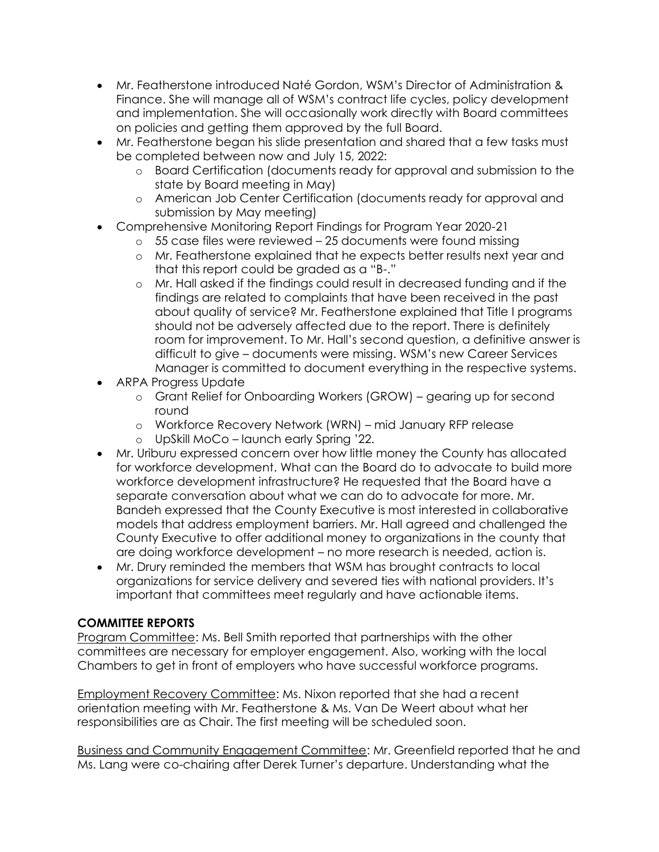- Mr. Featherstone introduced Naté Gordon, WSM's Director of Administration & Finance. She will manage all of WSM's contract life cycles, policy development and implementation. She will occasionally work directly with Board committees on policies and getting them approved by the full Board.
- Mr. Featherstone began his slide presentation and shared that a few tasks must be completed between now and July 15, 2022:
	- o Board Certification (documents ready for approval and submission to the state by Board meeting in May)
	- o American Job Center Certification (documents ready for approval and submission by May meeting)
- Comprehensive Monitoring Report Findings for Program Year 2020-21
	- o 55 case files were reviewed 25 documents were found missing
	- o Mr. Featherstone explained that he expects better results next year and that this report could be graded as a "B-."
	- o Mr. Hall asked if the findings could result in decreased funding and if the findings are related to complaints that have been received in the past about quality of service? Mr. Featherstone explained that Title I programs should not be adversely affected due to the report. There is definitely room for improvement. To Mr. Hall's second question, a definitive answer is difficult to give – documents were missing. WSM's new Career Services Manager is committed to document everything in the respective systems.
- ARPA Progress Update
	- o Grant Relief for Onboarding Workers (GROW) gearing up for second round
	- o Workforce Recovery Network (WRN) mid January RFP release
	- o UpSkill MoCo launch early Spring '22.
- Mr. Uriburu expressed concern over how little money the County has allocated for workforce development. What can the Board do to advocate to build more workforce development infrastructure? He requested that the Board have a separate conversation about what we can do to advocate for more. Mr. Bandeh expressed that the County Executive is most interested in collaborative models that address employment barriers. Mr. Hall agreed and challenged the County Executive to offer additional money to organizations in the county that are doing workforce development – no more research is needed, action is.
- Mr. Drury reminded the members that WSM has brought contracts to local organizations for service delivery and severed ties with national providers. It's important that committees meet regularly and have actionable items.

# **COMMITTEE REPORTS**

Program Committee: Ms. Bell Smith reported that partnerships with the other committees are necessary for employer engagement. Also, working with the local Chambers to get in front of employers who have successful workforce programs.

Employment Recovery Committee: Ms. Nixon reported that she had a recent orientation meeting with Mr. Featherstone & Ms. Van De Weert about what her responsibilities are as Chair. The first meeting will be scheduled soon.

Business and Community Engagement Committee: Mr. Greenfield reported that he and Ms. Lang were co-chairing after Derek Turner's departure. Understanding what the